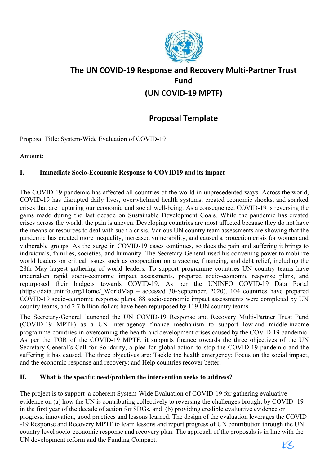

Proposal Title: System-Wide Evaluation of COVID-19

Amount:

#### L **Immediate Socio-Economic Response to COVID19 and its impact**

The COVID-19 pandemic has affected all countries of the world in unprecedented ways. Across the world, COVID-19 has disrupted daily lives, overwhelmed health systems, created economic shocks, and sparked crises that are rupturing our economic and social well-being. As a consequence, COVID-19 is reversing the gains made during the last decade on Sustainable Development Goals. While the pandemic has created crises across the world, the pain is uneven. Developing countries are most affected because they do not have the means or resources to deal with such a crisis. Various UN country team assessments are showing that the pandemic has created more inequality, increased vulnerability, and caused a protection crisis for women and vulnerable groups. As the surge in COVID-19 cases continues, so does the pain and suffering it brings to individuals, families, societies, and humanity. The Secretary-General used his convening power to mobilize world leaders on critical issues such as cooperation on a vaccine, financing, and debt relief, including the 28th May largest gathering of world leaders. To support programme countries UN country teams have undertaken rapid socio-economic impact assessments, prepared socio-economic response plans, and repurposed their budgets towards COVID-19. As per the UNINFO COVID-19 Data Portal (https://data.uninfo.org/Home/ WorldMap - accessed 30-September, 2020), 104 countries have prepared COVID-19 socio-economic response plans, 88 socio-economic impact assessments were completed by UN country teams, and 2.7 billion dollars have been repurposed by 119 UN country teams.

The Secretary-General launched the UN COVID-19 Response and Recovery Multi-Partner Trust Fund (COVID-19 MPTF) as a UN inter-agency finance mechanism to support low-and middle-income programme countries in overcoming the health and development crises caused by the COVID-19 pandemic. As per the TOR of the COVID-19 MPTF, it supports finance towards the three objectives of the UN Secretary-General's Call for Solidarity, a plea for global action to stop the COVID-19 pandemic and the suffering it has caused. The three objectives are: Tackle the health emergency; Focus on the social impact, and the economic response and recovery; and Help countries recover better.

#### Π. What is the specific need/problem the intervention seeks to address?

The project is to support a coherent System-Wide Evaluation of COVID-19 for gathering evaluative evidence on (a) how the UN is contributing collectively to reversing the challenges brought by COVID-19 in the first year of the decade of action for SDGs, and (b) providing credible evaluative evidence on progress, innovation, good practices and lessons learned. The design of the evaluation leverages the COVID -19 Response and Recovery MPTF to learn lessons and report progress of UN contribution through the UN country level socio-economic response and recovery plan. The approach of the proposals is in line with the UN development reform and the Funding Compact. KL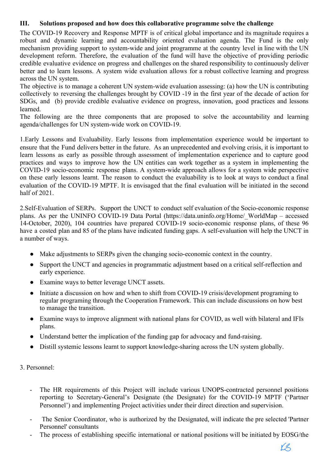#### Ш. Solutions proposed and how does this collaborative programme solve the challenge

The COVID-19 Recovery and Response MPTF is of critical global importance and its magnitude requires a robust and dynamic learning and accountability oriented evaluation agenda. The Fund is the only mechanism providing support to system-wide and joint programme at the country level in line with the UN development reform. Therefore, the evaluation of the fund will have the objective of providing periodic credible evaluative evidence on progress and challenges on the shared responsibility to continuously deliver better and to learn lessons. A system wide evaluation allows for a robust collective learning and progress across the UN system.

The objective is to manage a coherent UN system-wide evaluation assessing: (a) how the UN is contributing collectively to reversing the challenges brought by COVID -19 in the first year of the decade of action for SDGs, and (b) provide credible evaluative evidence on progress, innovation, good practices and lessons learned

The following are the three components that are proposed to solve the accountability and learning agenda/challenges for UN system-wide work on COVID-19.

1. Early Lessons and Evaluability. Early lessons from implementation experience would be important to ensure that the Fund delivers better in the future. As an unprecedented and evolving crisis, it is important to learn lessons as early as possible through assessment of implementation experience and to capture good practices and ways to improve how the UN entities can work together as a system in implementing the COVID-19 socio-economic response plans. A system-wide approach allows for a system wide perspective on these early lessons learnt. The reason to conduct the evaluability is to look at ways to conduct a final evaluation of the COVID-19 MPTF. It is envisaged that the final evaluation will be initiated in the second half of  $2021$ .

2. Self-Evaluation of SERPs. Support the UNCT to conduct self evaluation of the Socio-economic response plans. As per the UNINFO COVID-19 Data Portal (https://data.uninfo.org/Home/ WorldMap – accessed 14-October, 2020), 104 countries have prepared COVID-19 socio-economic response plans, of these 96 have a costed plan and 85 of the plans have indicated funding gaps. A self-evaluation will help the UNCT in a number of ways.

- Make adjustments to SERPs given the changing socio-economic context in the country.
- Support the UNCT and agencies in programmatic adjustment based on a critical self-reflection and early experience.
- Examine ways to better leverage UNCT assets.
- Initiate a discussion on how and when to shift from COVID-19 crisis/development programing to  $\bullet$ regular programing through the Cooperation Framework. This can include discussions on how best to manage the transition.
- Examine ways to improve alignment with national plans for COVID, as well with bilateral and IFIs plans.
- Understand better the implication of the funding gap for advocacy and fund-raising.
- Distill systemic lessons learnt to support knowledge-sharing across the UN system globally.  $\bullet$

## 3 Personnel<sup>-</sup>

- The HR requirements of this Project will include various UNOPS-contracted personnel positions reporting to Secretary-General's Designate (the Designate) for the COVID-19 MPTF ('Partner Personnel') and implementing Project activities under their direct direction and supervision.
- The Senior Coordinator, who is authorized by the Designated, will indicate the pre selected 'Partner  $\Box$ Personnel' consultants
- The process of establishing specific international or national positions will be initiated by EOSG/the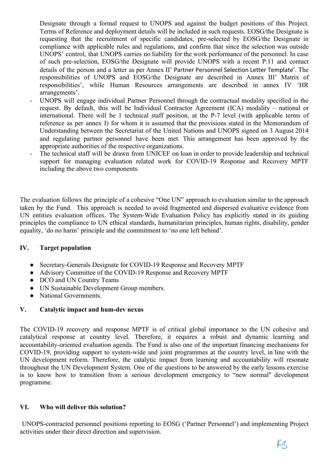Designate through a formal request to UNOPS and against the budget positions of this Project. Terms of Reference and deployment details will be included in such requests. EOSG/the Designate is requesting that the recruitment of specific candidates, pre-selected by EOSG/the Designate in compliance with applicable rules and regulations, and confirm that since the selection was outside UNOPS' control, that UNOPS carries no liability for the work performance of the personnel. In case of such pre-selection, EOSG/the Designate will provide UNOPS with a recent P.11 and contact details of the person and a letter as per Annex II' Partner Personnel Selection Letter Template'. The responsibilities of UNOPS and EOSG/the Designate are described in Annex III' Matrix of responsibilities', while Human Resources arrangements are described in annex IV 'HR arrangements'.

- UNOPS will engage individual Partner Personnel through the contractual modality specified in the request. By default, this will be Individual Contractor Agreement (ICA) modality – national or international. There will be 1 technical staff position, at the P-7 level (with applicable terms of reference as per annex I) for whom it is assumed that the provisions stated in the Memorandum of Understanding between the Secretariat of the United Nations and UNOPS signed on 3 August 2014 and regulating partner personnel have been met. This arrangement has been approved by the appropriate authorities of the respective organizations.
- The technical staff will be drawn from UNICEF on loan in order to provide leadership and technical support for managing evaluation related work for COVID-19 Response and Recovery MPTF including the above two components.

The evaluation follows the principle of a cohesive "One UN" approach to evaluation similar to the approach taken by the Fund. This approach is needed to avoid fragmented and dispersed evaluative evidence from UN entities evaluation offices. The System-Wide Evaluation Policy has explicitly stated in its guiding principles the compliance to UN ethical standards, humanitarian principles, human rights, disability, gender equality, 'do no harm' principle and the commitment to 'no one left behind'.

#### IV. **Target population**

- Secretary-Generals Designate for COVID-19 Response and Recovery MPTF
- Advisory Committee of the COVID-19 Response and Recovery MPTF
- DCO and UN Country Teams
- UN Sustainable Development Group members.
- National Governments.

#### $\mathbf{V}_{\bullet}$ Catalytic impact and hum-dev nexus

The COVID-19 recovery and response MPTF is of critical global importance to the UN cohesive and catalytical response at country level. Therefore, it requires a robust and dynamic learning and accountability-oriented evaluation agenda. The Fund is also one of the important financing mechanisms for COVID-19, providing support to system-wide and joint programmes at the country level, in line with the UN development reform. Therefore, the catalytic impact from learning and accountability will resonate throughout the UN Development System. One of the questions to be answered by the early lessons exercise is to know how to transition from a serious development emergency to "new normal" development programme.

#### VI. Who will deliver this solution?

UNOPS-contracted personnel positions reporting to EOSG ('Partner Personnel') and implementing Project activities under their direct direction and supervision.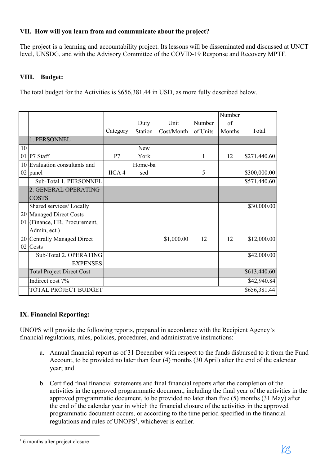# VII. How will you learn from and communicate about the project?

The project is a learning and accountability project. Its lessons will be disseminated and discussed at UNCT level, UNSDG, and with the Advisory Committee of the COVID-19 Response and Recovery MPTF.

# VIII. Budget:

The total budget for the Activities is \$656,381.44 in USD, as more fully described below.

|    |                                  |          |                |            |          | Number |              |
|----|----------------------------------|----------|----------------|------------|----------|--------|--------------|
|    |                                  |          | Duty           | Unit       | Number   | of     |              |
|    |                                  | Category | <b>Station</b> | Cost/Month | of Units | Months | Total        |
|    | 1. PERSONNEL                     |          |                |            |          |        |              |
| 10 |                                  |          | <b>New</b>     |            |          |        |              |
| 01 | P7 Staff                         | P7       | York           |            | 1        | 12     | \$271,440.60 |
|    | 10 Evaluation consultants and    |          | Home-ba        |            |          |        |              |
|    | 02 panel                         | IICA 4   | sed            |            | 5        |        | \$300,000.00 |
|    | Sub-Total 1. PERSONNEL           |          |                |            |          |        | \$571,440.60 |
|    | 2. GENERAL OPERATING             |          |                |            |          |        |              |
|    | <b>COSTS</b>                     |          |                |            |          |        |              |
|    | Shared services/ Locally         |          |                |            |          |        | \$30,000.00  |
|    | 20 Managed Direct Costs          |          |                |            |          |        |              |
|    | 01 (Finance, HR, Procurement,    |          |                |            |          |        |              |
|    | Admin, ect.)                     |          |                |            |          |        |              |
|    | 20 Centrally Managed Direct      |          |                | \$1,000.00 | 12       | 12     | \$12,000.00  |
|    | 02 Costs                         |          |                |            |          |        |              |
|    | Sub-Total 2. OPERATING           |          |                |            |          |        | \$42,000.00  |
|    | <b>EXPENSES</b>                  |          |                |            |          |        |              |
|    | <b>Total Project Direct Cost</b> |          |                |            |          |        | \$613,440.60 |
|    | Indirect cost 7%                 |          |                |            |          |        | \$42,940.84  |
|    | TOTAL PROJECT BUDGET             |          |                |            |          |        | \$656,381.44 |

# **IX. Financial Reporting:**

UNOPS will provide the following reports, prepared in accordance with the Recipient Agency's financial regulations, rules, policies, procedures, and administrative instructions:

- a. Annual financial report as of 31 December with respect to the funds disbursed to it from the Fund Account, to be provided no later than four (4) months (30 April) after the end of the calendar year; and
- b. Certified final financial statements and final financial reports after the completion of the activities in the approved programmatic document, including the final year of the activities in the approved programmatic document, to be provided no later than five (5) months (31 May) after the end of the calendar year in which the financial closure of the activities in the approved programmatic document occurs, or according to the time period specified in the financial regulations and rules of UNOPS<sup>1</sup>, whichever is earlier.

 $16$  months after project closure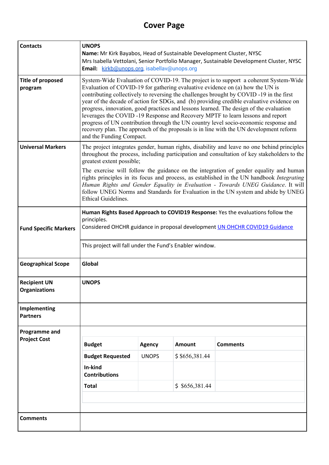# **Cover Page**

| <b>Contacts</b>                             | <b>UNOPS</b><br>Name: Mr Kirk Bayabos, Head of Sustainable Development Cluster, NYSC<br>Mrs Isabella Vettolani, Senior Portfolio Manager, Sustainable Development Cluster, NYSC<br>Email: kirkb@unops.org, isabellav@unops.org                                                                                                                                                                                                                                                                                                                                                                                                                                                                                                                        |               |               |                 |  |  |
|---------------------------------------------|-------------------------------------------------------------------------------------------------------------------------------------------------------------------------------------------------------------------------------------------------------------------------------------------------------------------------------------------------------------------------------------------------------------------------------------------------------------------------------------------------------------------------------------------------------------------------------------------------------------------------------------------------------------------------------------------------------------------------------------------------------|---------------|---------------|-----------------|--|--|
| <b>Title of proposed</b><br>program         | System-Wide Evaluation of COVID-19. The project is to support a coherent System-Wide<br>Evaluation of COVID-19 for gathering evaluative evidence on (a) how the UN is<br>contributing collectively to reversing the challenges brought by COVID -19 in the first<br>year of the decade of action for SDGs, and (b) providing credible evaluative evidence on<br>progress, innovation, good practices and lessons learned. The design of the evaluation<br>leverages the COVID-19 Response and Recovery MPTF to learn lessons and report<br>progress of UN contribution through the UN country level socio-economic response and<br>recovery plan. The approach of the proposals is in line with the UN development reform<br>and the Funding Compact. |               |               |                 |  |  |
| <b>Universal Markers</b>                    | The project integrates gender, human rights, disability and leave no one behind principles<br>throughout the process, including participation and consultation of key stakeholders to the<br>greatest extent possible;<br>The exercise will follow the guidance on the integration of gender equality and human<br>rights principles in its focus and process, as established in the UN handbook <i>Integrating</i><br>Human Rights and Gender Equality in Evaluation - Towards UNEG Guidance. It will                                                                                                                                                                                                                                                |               |               |                 |  |  |
|                                             | follow UNEG Norms and Standards for Evaluation in the UN system and abide by UNEG<br>Ethical Guidelines.                                                                                                                                                                                                                                                                                                                                                                                                                                                                                                                                                                                                                                              |               |               |                 |  |  |
| <b>Fund Specific Markers</b>                | Human Rights Based Approach to COVID19 Response: Yes the evaluations follow the<br>principles.<br>Considered OHCHR guidance in proposal development <b>UN OHCHR COVID19 Guidance</b>                                                                                                                                                                                                                                                                                                                                                                                                                                                                                                                                                                  |               |               |                 |  |  |
|                                             | This project will fall under the Fund's Enabler window.                                                                                                                                                                                                                                                                                                                                                                                                                                                                                                                                                                                                                                                                                               |               |               |                 |  |  |
| <b>Geographical Scope</b>                   | Global                                                                                                                                                                                                                                                                                                                                                                                                                                                                                                                                                                                                                                                                                                                                                |               |               |                 |  |  |
| <b>Recipient UN</b><br><b>Organizations</b> | <b>UNOPS</b>                                                                                                                                                                                                                                                                                                                                                                                                                                                                                                                                                                                                                                                                                                                                          |               |               |                 |  |  |
| Implementing<br><b>Partners</b>             |                                                                                                                                                                                                                                                                                                                                                                                                                                                                                                                                                                                                                                                                                                                                                       |               |               |                 |  |  |
| Programme and                               |                                                                                                                                                                                                                                                                                                                                                                                                                                                                                                                                                                                                                                                                                                                                                       |               |               |                 |  |  |
| <b>Project Cost</b>                         | <b>Budget</b>                                                                                                                                                                                                                                                                                                                                                                                                                                                                                                                                                                                                                                                                                                                                         | <b>Agency</b> | <b>Amount</b> | <b>Comments</b> |  |  |
|                                             | <b>Budget Requested</b>                                                                                                                                                                                                                                                                                                                                                                                                                                                                                                                                                                                                                                                                                                                               | <b>UNOPS</b>  | \$656,381.44  |                 |  |  |
|                                             | In-kind<br><b>Contributions</b>                                                                                                                                                                                                                                                                                                                                                                                                                                                                                                                                                                                                                                                                                                                       |               |               |                 |  |  |
|                                             | <b>Total</b>                                                                                                                                                                                                                                                                                                                                                                                                                                                                                                                                                                                                                                                                                                                                          |               | \$656,381.44  |                 |  |  |
|                                             |                                                                                                                                                                                                                                                                                                                                                                                                                                                                                                                                                                                                                                                                                                                                                       |               |               |                 |  |  |
| <b>Comments</b>                             |                                                                                                                                                                                                                                                                                                                                                                                                                                                                                                                                                                                                                                                                                                                                                       |               |               |                 |  |  |
|                                             |                                                                                                                                                                                                                                                                                                                                                                                                                                                                                                                                                                                                                                                                                                                                                       |               |               |                 |  |  |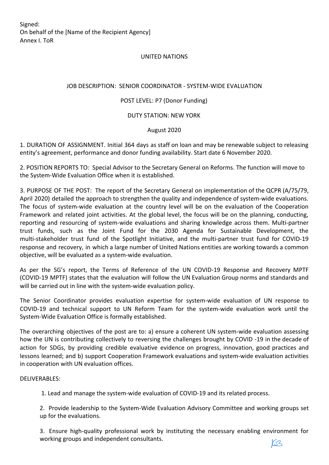Signed: On behalf of the [Name of the Recipient Agency] Annex I. ToR

### UNITED NATIONS

### JOB DESCRIPTION: SENIOR COORDINATOR - SYSTEM-WIDE EVALUATION

### POST LEVEL: P7 (Donor Funding)

### DUTY STATION: NEW YORK

### August 2020

1. DURATION OF ASSIGNMENT. Initial 364 days as staff on loan and may be renewable subject to releasing entity's agreement, performance and donor funding availability. Start date 6 November 2020.

2. POSITION REPORTS TO: Special Advisor to the Secretary General on Reforms. The function will move to the System-Wide Evaluation Office when it is established.

3. PURPOSE OF THE POST: The report of the Secretary General on implementation of the QCPR (A/75/79, April 2020) detailed the approach to strengthen the quality and independence of system-wide evaluations. The focus of system-wide evaluation at the country level will be on the evaluation of the Cooperation Framework and related joint activities. At the global level, the focus will be on the planning, conducting, reporting and resourcing of system-wide evaluations and sharing knowledge across them. Multi-partner trust funds, such as the Joint Fund for the 2030 Agenda for Sustainable Development, the multi-stakeholder trust fund of the Spotlight Initiative, and the multi-partner trust fund for COVID-19 response and recovery, in which a large number of United Nations entities are working towards a common objective, will be evaluated as a system-wide evaluation.

As per the SG's report, the Terms of Reference of the UN COVID-19 Response and Recovery MPTF (COVID-19 MPTF) states that the evaluation will follow the UN Evaluation Group norms and standards and will be carried out in line with the system-wide evaluation policy.

The Senior Coordinator provides evaluation expertise for system-wide evaluation of UN response to COVID-19 and technical support to UN Reform Team for the system-wide evaluation work until the System-Wide Evaluation Office is formally established.

The overarching objectives of the post are to: a) ensure a coherent UN system-wide evaluation assessing how the UN is contributing collectively to reversing the challenges brought by COVID -19 in the decade of action for SDGs, by providing credible evaluative evidence on progress, innovation, good practices and lessons learned; and b) support Cooperation Framework evaluations and system-wide evaluation activities in cooperation with UN evaluation offices.

### DELIVERABLES:

1. Lead and manage the system-wide evaluation of COVID-19 and its related process.

2. Provide leadership to the System-Wide Evaluation Advisory Committee and working groups set up for the evaluations.

3. Ensure high-quality professional work by instituting the necessary enabling environment for working groups and independent consultants.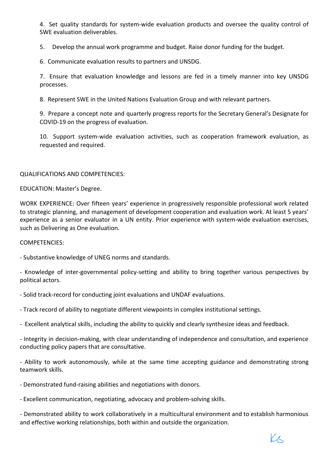Å. Set quality standards for system-wide evaluation products and oversee the quality control of SWE evaluation deliverables.

5. Develop the annual work programme and budget. Raise donor funding for the budget.

Ç. Communicate evaluation results to partners and UNSDG.

7. Ensure that evaluation knowledge and lessons are fed in a timely manner into key UNSDG processes.

8. Represent SWE in the United Nations Evaluation Group and with relevant partners.

Ê. Prepare a concept note and quarterly progress reports for the Secretary General's Designate for COVID-19 on the progress of evaluation.

10. Support system-wide evaluation activities, such as cooperation framework evaluation, as requested and required.

### QUALIFICATIONS AND COMPETENCIES:

EDUCATION: Master's Degree.

WORK EXPERIENCE: Over fifteen years' experience in progressively responsible professional work related to strategic planning, and management of development cooperation and evaluation work. At least 5 years' experience as a senior evaluator in a UN entity. Prior experience with system-wide evaluation exercises, such as Delivering as One evaluation.

### COMPETENCIES:

- Substantive knowledge of UNEG norms and standards.

- Knowledge of inter-governmental policy-setting and ability to bring together various perspectives by political actors.

- Solid track-record for conducting joint evaluations and UNDAF evaluations.

- Track record of ability to negotiate different viewpoints in complex institutional settings.

- Excellent analytical skills, including the ability to quickly and clearly synthesize ideas and feedback.

- Integrity in decision-making, with clear understanding of independence and consultation, and experience conducting policy papers that are consultative.

- Ability to work autonomously, while at the same time accepting guidance and demonstrating strong teamwork skills.

- Demonstrated fund-raising abilities and negotiations with donors.

- Excellent communication, negotiating, advocacy and problem-solving skills.

- Demonstrated ability to work collaboratively in a multicultural environment and to establish harmonious and effective working relationships, both within and outside the organization.

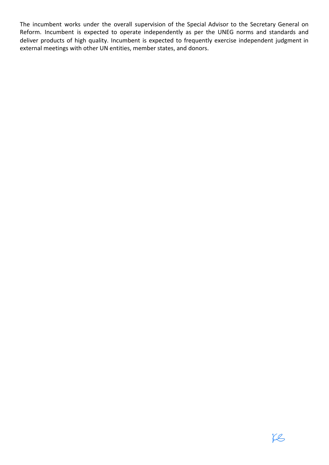The incumbent works under the overall supervision of the Special Advisor to the Secretary General on Reform. Incumbent is expected to operate independently as per the UNEG norms and standards and deliver products of high quality. Incumbent is expected to frequently exercise independent judgment in external meetings with other UN entities, member states, and donors.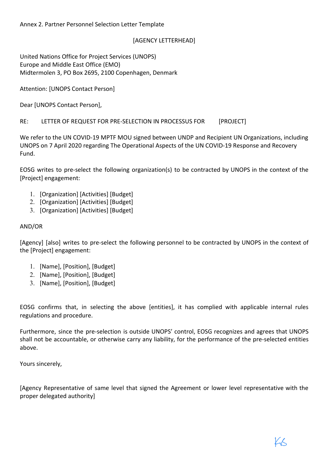## [AGENCY LETTERHEAD]

United Nations Office for Project Services (UNOPS) Europe and Middle East Office (EMO) Midtermolen 3, PO Box 2695, 2100 Copenhagen, Denmark

Attention: [UNOPS Contact Person]

Dear [UNOPS Contact Person],

RE: LETTER OF REQUEST FOR PRE-SELECTION IN PROCESSUS FOR [PROJECT]

We refer to the UN COVID-19 MPTF MOU signed between UNDP and Recipient UN Organizations, including UNOPS on 7 April 2020 regarding The Operational Aspects of the UN COVID-19 Response and Recovery Fund.

EOSG writes to pre-select the following organization(s) to be contracted by UNOPS in the context of the [Project] engagement:

- 1. [Organization] [Activities] [Budget]
- 2. [Organization] [Activities] [Budget]
- 3. [Organization] [Activities] [Budget]

### AND/OR

[Agency] [also] writes to pre-select the following personnel to be contracted by UNOPS in the context of the [Project] engagement:

- 1. [Name], [Position], [Budget]
- 2. [Name], [Position], [Budget]
- 3. [Name], [Position], [Budget]

EOSG confirms that, in selecting the above [entities], it has complied with applicable internal rules regulations and procedure.

Furthermore, since the pre-selection is outside UNOPS' control, EOSG recognizes and agrees that UNOPS shall not be accountable, or otherwise carry any liability, for the performance of the pre-selected entities above.

Yours sincerely,

[Agency Representative of same level that signed the Agreement or lower level representative with the proper delegated authority]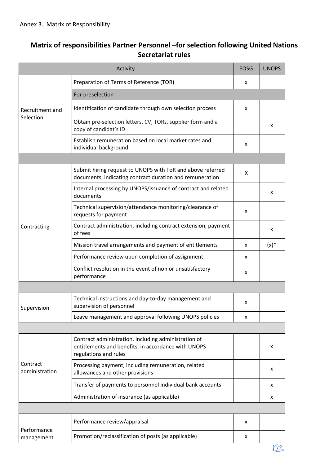# **Matrix of responsibilities Partner Personnel -for selection following United Nations Secretariat rules**

|                            | Activity                                                                                                                                                                                                                                                                                                                                                                                                                                             | <b>EOSG</b> | <b>UNOPS</b> |
|----------------------------|------------------------------------------------------------------------------------------------------------------------------------------------------------------------------------------------------------------------------------------------------------------------------------------------------------------------------------------------------------------------------------------------------------------------------------------------------|-------------|--------------|
|                            | Preparation of Terms of Reference (TOR)                                                                                                                                                                                                                                                                                                                                                                                                              | x<br>X<br>x |              |
|                            | For preselection                                                                                                                                                                                                                                                                                                                                                                                                                                     |             |              |
| Recruitment and            | Identification of candidate through own selection process                                                                                                                                                                                                                                                                                                                                                                                            |             |              |
| Selection                  | Obtain pre-selection letters, CV, TORs, supplier form and a<br>copy of candidat's ID                                                                                                                                                                                                                                                                                                                                                                 |             | x            |
|                            | Establish remuneration based on local market rates and<br>individual background                                                                                                                                                                                                                                                                                                                                                                      |             |              |
|                            |                                                                                                                                                                                                                                                                                                                                                                                                                                                      |             |              |
|                            | Submit hiring request to UNOPS with ToR and above referred<br>documents, indicating contract duration and remuneration                                                                                                                                                                                                                                                                                                                               | X           |              |
|                            | Internal processing by UNOPS/issuance of contract and related<br>documents                                                                                                                                                                                                                                                                                                                                                                           |             | x            |
|                            | Technical supervision/attendance monitoring/clearance of<br>requests for payment                                                                                                                                                                                                                                                                                                                                                                     | x           |              |
| Contracting                | Contract administration, including contract extension, payment<br>of fees                                                                                                                                                                                                                                                                                                                                                                            |             | x            |
|                            | Mission travel arrangements and payment of entitlements                                                                                                                                                                                                                                                                                                                                                                                              | x           | $(x)^*$      |
|                            | Performance review upon completion of assignment                                                                                                                                                                                                                                                                                                                                                                                                     | x           |              |
|                            | Conflict resolution in the event of non or unsatisfactory<br>performance                                                                                                                                                                                                                                                                                                                                                                             | x           |              |
|                            |                                                                                                                                                                                                                                                                                                                                                                                                                                                      |             |              |
| Supervision                | Technical instructions and day-to-day management and<br>supervision of personnel                                                                                                                                                                                                                                                                                                                                                                     |             |              |
|                            | x<br>Leave management and approval following UNOPS policies<br>x<br>Contract administration, including administration of<br>entitlements and benefits, in accordance with UNOPS<br>regulations and rules<br>Processing payment, including remuneration, related<br>allowances and other provisions<br>Transfer of payments to personnel individual bank accounts<br>Administration of insurance (as applicable)<br>Performance review/appraisal<br>x |             |              |
|                            |                                                                                                                                                                                                                                                                                                                                                                                                                                                      |             |              |
|                            |                                                                                                                                                                                                                                                                                                                                                                                                                                                      |             | x            |
| Contract<br>administration |                                                                                                                                                                                                                                                                                                                                                                                                                                                      |             | x            |
|                            |                                                                                                                                                                                                                                                                                                                                                                                                                                                      |             | x            |
|                            |                                                                                                                                                                                                                                                                                                                                                                                                                                                      |             | x            |
|                            |                                                                                                                                                                                                                                                                                                                                                                                                                                                      |             |              |
| Performance                |                                                                                                                                                                                                                                                                                                                                                                                                                                                      |             |              |
| management                 | Promotion/reclassification of posts (as applicable)                                                                                                                                                                                                                                                                                                                                                                                                  | x           |              |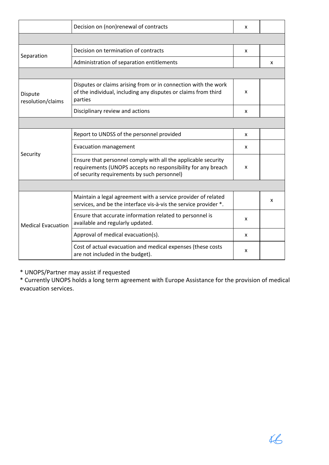|                              | Decision on (non)renewal of contracts                                                                                                                                        | x |   |  |  |  |
|------------------------------|------------------------------------------------------------------------------------------------------------------------------------------------------------------------------|---|---|--|--|--|
|                              |                                                                                                                                                                              |   |   |  |  |  |
| Separation                   | Decision on termination of contracts                                                                                                                                         |   |   |  |  |  |
|                              | Administration of separation entitlements                                                                                                                                    |   | X |  |  |  |
|                              |                                                                                                                                                                              |   |   |  |  |  |
| Dispute<br>resolution/claims | Disputes or claims arising from or in connection with the work<br>of the individual, including any disputes or claims from third<br>parties                                  |   |   |  |  |  |
|                              | Disciplinary review and actions                                                                                                                                              | x |   |  |  |  |
|                              |                                                                                                                                                                              |   |   |  |  |  |
|                              | Report to UNDSS of the personnel provided                                                                                                                                    | x |   |  |  |  |
| Security                     | <b>Evacuation management</b>                                                                                                                                                 | x |   |  |  |  |
|                              | Ensure that personnel comply with all the applicable security<br>requirements (UNOPS accepts no responsibility for any breach<br>of security requirements by such personnel) | x |   |  |  |  |
|                              |                                                                                                                                                                              |   |   |  |  |  |
|                              | Maintain a legal agreement with a service provider of related<br>services, and be the interface vis-à-vis the service provider *.                                            |   | x |  |  |  |
| <b>Medical Evacuation</b>    | Ensure that accurate information related to personnel is<br>available and regularly updated.                                                                                 | x |   |  |  |  |
|                              | Approval of medical evacuation(s).                                                                                                                                           | x |   |  |  |  |
|                              | Cost of actual evacuation and medical expenses (these costs<br>are not included in the budget).                                                                              | x |   |  |  |  |

« UNOPS/Partner may assist if requested

« Currently UNOPS holds a long term agreement with Europe Assistance for the provision of medical evacuation services.

 $46$